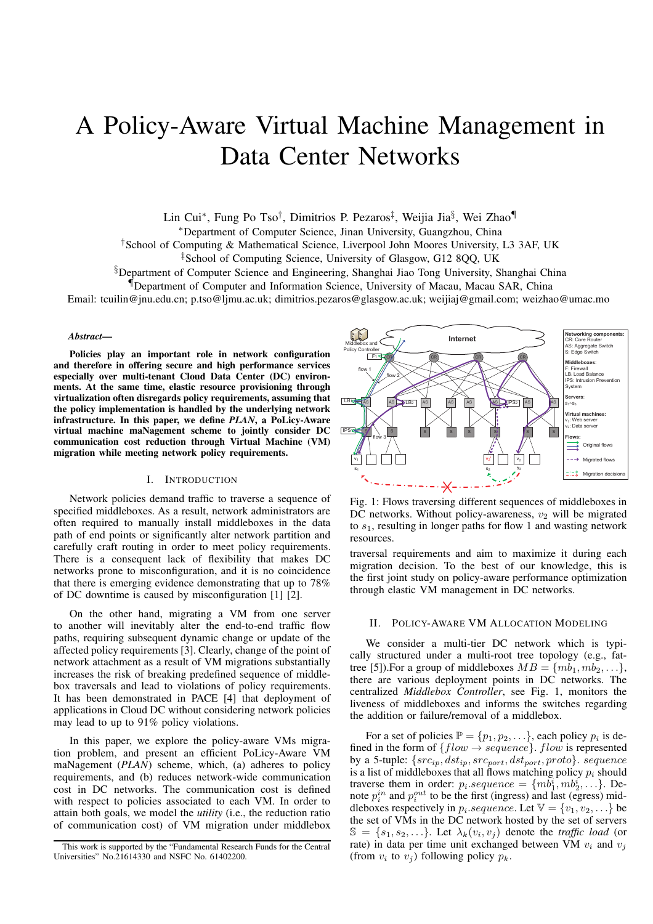# A Policy-Aware Virtual Machine Management in Data Center Networks

Lin Cui\*, Fung Po Tso<sup>†</sup>, Dimitrios P. Pezaros<sup>‡</sup>, Weijia Jia§, Wei Zhao¶

<sup>∗</sup>Department of Computer Science, Jinan University, Guangzhou, China

†School of Computing & Mathematical Science, Liverpool John Moores University, L3 3AF, UK

‡School of Computing Science, University of Glasgow, G12 8QQ, UK

§Department of Computer Science and Engineering, Shanghai Jiao Tong University, Shanghai China

¶Department of Computer and Information Science, University of Macau, Macau SAR, China

Email: tcuilin@jnu.edu.cn; p.tso@ljmu.ac.uk; dimitrios.pezaros@glasgow.ac.uk; weijiaj@gmail.com; weizhao@umac.mo

# *Abstract***—**

**Policies play an important role in network configuration and therefore in offering secure and high performance services especially over multi-tenant Cloud Data Center (DC) environments. At the same time, elastic resource provisioning through virtualization often disregards policy requirements, assuming that the policy implementation is handled by the underlying network infrastructure. In this paper, we define** *PLAN***, a PoLicy-Aware virtual machine maNagement scheme to jointly consider DC communication cost reduction through Virtual Machine (VM) migration while meeting network policy requirements.**

# I. INTRODUCTION

Network policies demand traffic to traverse a sequence of specified middleboxes. As a result, network administrators are often required to manually install middleboxes in the data path of end points or significantly alter network partition and carefully craft routing in order to meet policy requirements. There is a consequent lack of flexibility that makes DC networks prone to misconfiguration, and it is no coincidence that there is emerging evidence demonstrating that up to 78% of DC downtime is caused by misconfiguration [1] [2].

On the other hand, migrating a VM from one server to another will inevitably alter the end-to-end traffic flow paths, requiring subsequent dynamic change or update of the affected policy requirements [3]. Clearly, change of the point of network attachment as a result of VM migrations substantially increases the risk of breaking predefined sequence of middlebox traversals and lead to violations of policy requirements. It has been demonstrated in PACE [4] that deployment of applications in Cloud DC without considering network policies may lead to up to 91% policy violations.

In this paper, we explore the policy-aware VMs migration problem, and present an efficient PoLicy-Aware VM maNagement (*PLAN*) scheme, which, (a) adheres to policy requirements, and (b) reduces network-wide communication cost in DC networks. The communication cost is defined with respect to policies associated to each VM. In order to attain both goals, we model the *utility* (i.e., the reduction ratio of communication cost) of VM migration under middlebox



Fig. 1: Flows traversing different sequences of middleboxes in DC networks. Without policy-awareness,  $v_2$  will be migrated to  $s<sub>1</sub>$ , resulting in longer paths for flow 1 and wasting network resources.

traversal requirements and aim to maximize it during each migration decision. To the best of our knowledge, this is the first joint study on policy-aware performance optimization through elastic VM management in DC networks.

### II. POLICY-AWARE VM ALLOCATION MODELING

We consider a multi-tier DC network which is typically structured under a multi-root tree topology (e.g., fattree [5]). For a group of middleboxes  $MB = \{mb_1, mb_2, \ldots\}$ , there are various deployment points in DC networks. The centralized *Middlebox Controller*, see Fig. 1, monitors the liveness of middleboxes and informs the switches regarding the addition or failure/removal of a middlebox.

For a set of policies  $\mathbb{P} = \{p_1, p_2, \ldots\}$ , each policy  $p_i$  is defined in the form of  $\{flow \rightarrow sequence\}$ . flow is represented by a 5-tuple:  $\{src_{ip}, dst_{ip}, src_{port}, dst_{port}, proto\}$ . sequence is a list of middleboxes that all flows matching policy  $p_i$  should traverse them in order:  $p_i \text{.} sequence = \{m\overline{b}_1^i, mb_2^i, \ldots\}$ . Denote  $p_i^{in}$  and  $p_i^{out}$  to be the first (ingress) and last (egress) middleboxes respectively in  $p_i$  sequence. Let  $\mathbb{V} = \{v_1, v_2, \ldots\}$  be the set of VMs in the DC network hosted by the set of servers  $\mathbb{S} = \{s_1, s_2, \ldots\}$ . Let  $\lambda_k(v_i, v_j)$  denote the *traffic load* (or rate) in data per time unit exchanged between VM  $v_i$  and  $v_j$ (from  $v_i$  to  $v_j$ ) following policy  $p_k$ .

This work is supported by the "Fundamental Research Funds for the Central Universities" No.21614330 and NSFC No. 61402200.